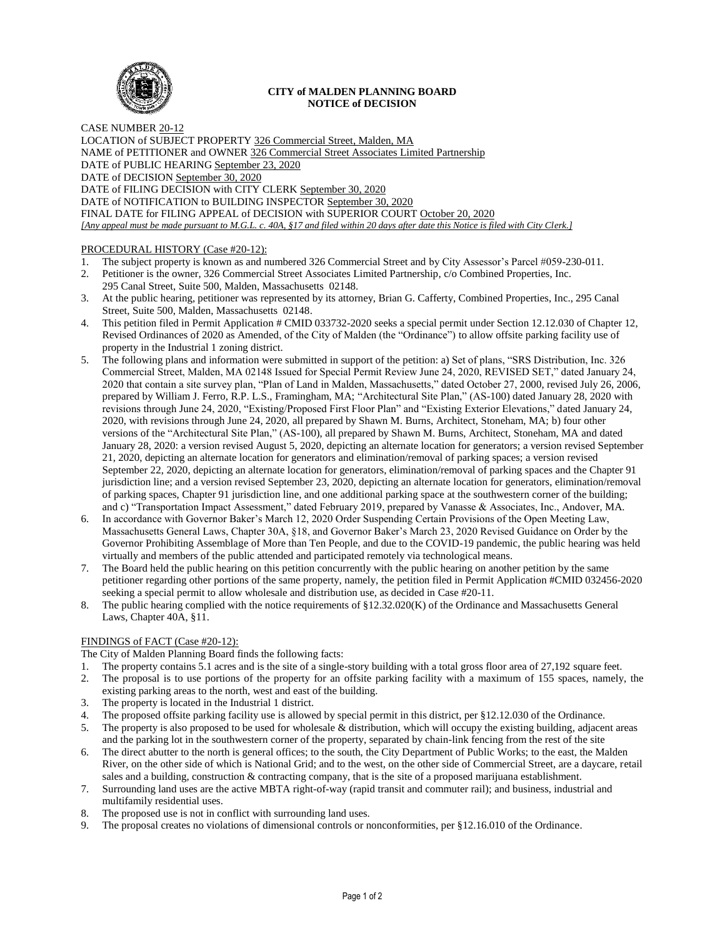

### **CITY of MALDEN PLANNING BOARD NOTICE of DECISION**

CASE NUMBER 20-12 LOCATION of SUBJECT PROPERTY 326 Commercial Street, Malden, MA NAME of PETITIONER and OWNER 326 Commercial Street Associates Limited Partnership DATE of PUBLIC HEARING September 23, 2020 DATE of DECISION September 30, 2020 DATE of FILING DECISION with CITY CLERK September 30, 2020 DATE of NOTIFICATION to BUILDING INSPECTOR September 30, 2020 FINAL DATE for FILING APPEAL of DECISION with SUPERIOR COURT October 20, 2020 *[Any appeal must be made pursuant to M.G.L. c. 40A, §17 and filed within 20 days after date this Notice is filed with City Clerk.]* 

# PROCEDURAL HISTORY (Case #20-12):

- 1. The subject property is known as and numbered 326 Commercial Street and by City Assessor's Parcel #059-230-011.
- 2. Petitioner is the owner, 326 Commercial Street Associates Limited Partnership, c/o Combined Properties, Inc. 295 Canal Street, Suite 500, Malden, Massachusetts 02148.
- 3. At the public hearing, petitioner was represented by its attorney, Brian G. Cafferty, Combined Properties, Inc., 295 Canal Street, Suite 500, Malden, Massachusetts 02148.
- 4. This petition filed in Permit Application # CMID 033732-2020 seeks a special permit under Section 12.12.030 of Chapter 12, Revised Ordinances of 2020 as Amended, of the City of Malden (the "Ordinance") to allow offsite parking facility use of property in the Industrial 1 zoning district.
- 5. The following plans and information were submitted in support of the petition: a) Set of plans, "SRS Distribution, Inc. 326 Commercial Street, Malden, MA 02148 Issued for Special Permit Review June 24, 2020, REVISED SET," dated January 24, 2020 that contain a site survey plan, "Plan of Land in Malden, Massachusetts," dated October 27, 2000, revised July 26, 2006, prepared by William J. Ferro, R.P. L.S., Framingham, MA; "Architectural Site Plan," (AS-100) dated January 28, 2020 with revisions through June 24, 2020, "Existing/Proposed First Floor Plan" and "Existing Exterior Elevations," dated January 24, 2020, with revisions through June 24, 2020, all prepared by Shawn M. Burns, Architect, Stoneham, MA; b) four other versions of the "Architectural Site Plan," (AS-100), all prepared by Shawn M. Burns, Architect, Stoneham, MA and dated January 28, 2020: a version revised August 5, 2020, depicting an alternate location for generators; a version revised September 21, 2020, depicting an alternate location for generators and elimination/removal of parking spaces; a version revised September 22, 2020, depicting an alternate location for generators, elimination/removal of parking spaces and the Chapter 91 jurisdiction line; and a version revised September 23, 2020, depicting an alternate location for generators, elimination/removal of parking spaces, Chapter 91 jurisdiction line, and one additional parking space at the southwestern corner of the building; and c) "Transportation Impact Assessment," dated February 2019, prepared by Vanasse & Associates, Inc., Andover, MA.
- 6. In accordance with Governor Baker's March 12, 2020 Order Suspending Certain Provisions of the Open Meeting Law, Massachusetts General Laws, Chapter 30A, §18, and Governor Baker's March 23, 2020 Revised Guidance on Order by the Governor Prohibiting Assemblage of More than Ten People, and due to the COVID-19 pandemic, the public hearing was held virtually and members of the public attended and participated remotely via technological means.
- 7. The Board held the public hearing on this petition concurrently with the public hearing on another petition by the same petitioner regarding other portions of the same property, namely, the petition filed in Permit Application #CMID 032456-2020 seeking a special permit to allow wholesale and distribution use, as decided in Case #20-11.
- 8. The public hearing complied with the notice requirements of §12.32.020(K) of the Ordinance and Massachusetts General Laws, Chapter 40A, §11.

# FINDINGS of FACT (Case #20-12):

The City of Malden Planning Board finds the following facts:

- 1. The property contains 5.1 acres and is the site of a single-story building with a total gross floor area of 27,192 square feet.
- 2. The proposal is to use portions of the property for an offsite parking facility with a maximum of 155 spaces, namely, the existing parking areas to the north, west and east of the building.
- 3. The property is located in the Industrial 1 district.
- 4. The proposed offsite parking facility use is allowed by special permit in this district, per §12.12.030 of the Ordinance.
- 5. The property is also proposed to be used for wholesale & distribution, which will occupy the existing building, adjacent areas and the parking lot in the southwestern corner of the property, separated by chain-link fencing from the rest of the site
- 6. The direct abutter to the north is general offices; to the south, the City Department of Public Works; to the east, the Malden River, on the other side of which is National Grid; and to the west, on the other side of Commercial Street, are a daycare, retail sales and a building, construction & contracting company, that is the site of a proposed marijuana establishment.
- 7. Surrounding land uses are the active MBTA right-of-way (rapid transit and commuter rail); and business, industrial and multifamily residential uses.
- 8. The proposed use is not in conflict with surrounding land uses.
- The proposal creates no violations of dimensional controls or nonconformities, per §12.16.010 of the Ordinance.